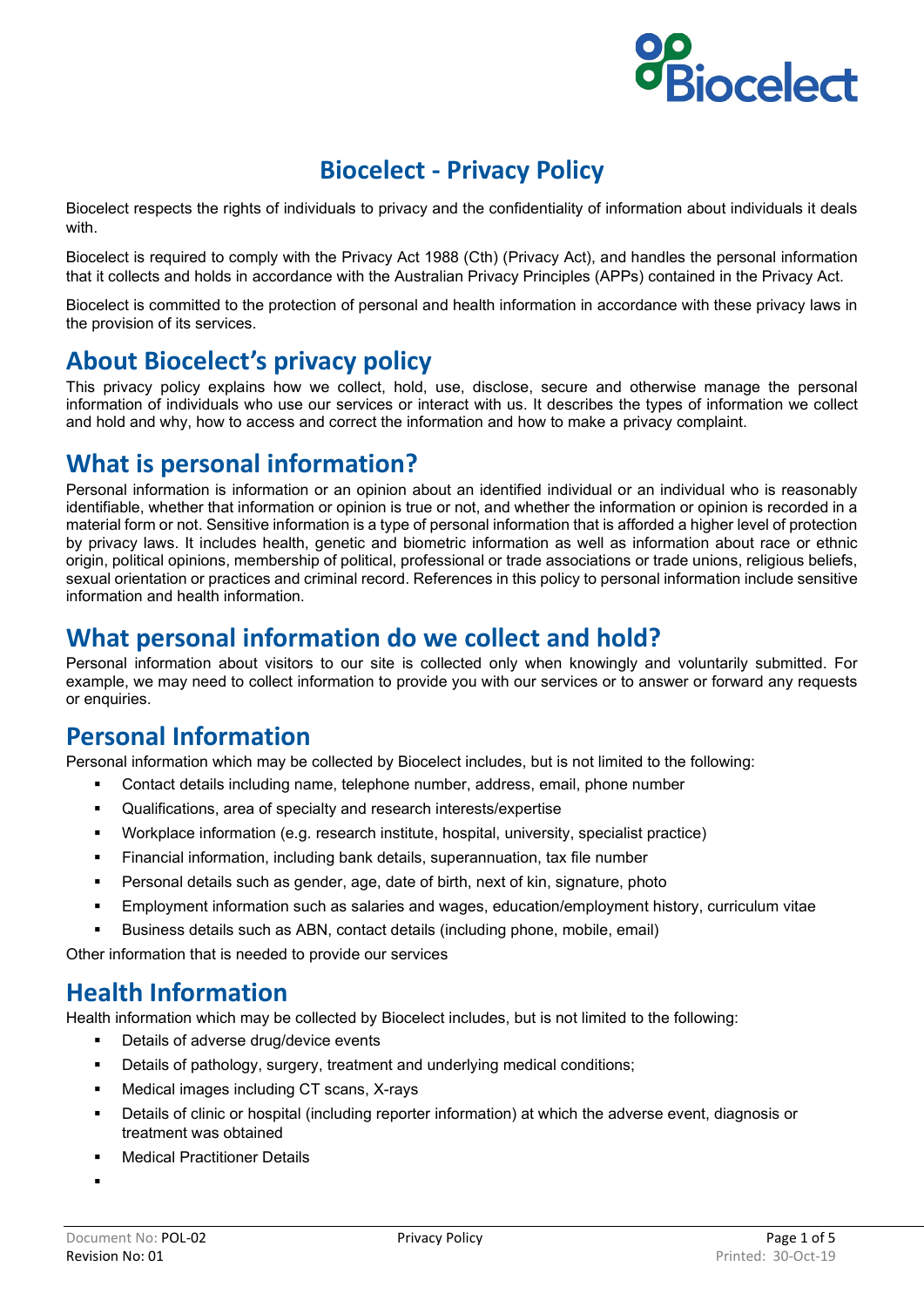# **Biocelect**

## **Biocelect - Privacy Policy**

Biocelect respects the rights of individuals to privacy and the confidentiality of information about individuals it deals with.

Biocelect is required to comply with the Privacy Act 1988 (Cth) (Privacy Act), and handles the personal information that it collects and holds in accordance with the Australian Privacy Principles (APPs) contained in the Privacy Act.

Biocelect is committed to the protection of personal and health information in accordance with these privacy laws in the provision of its services.

#### **About Biocelect's privacy policy**

This privacy policy explains how we collect, hold, use, disclose, secure and otherwise manage the personal information of individuals who use our services or interact with us. It describes the types of information we collect and hold and why, how to access and correct the information and how to make a privacy complaint.

## **What is personal information?**

Personal information is information or an opinion about an identified individual or an individual who is reasonably identifiable, whether that information or opinion is true or not, and whether the information or opinion is recorded in a material form or not. Sensitive information is a type of personal information that is afforded a higher level of protection by privacy laws. It includes health, genetic and biometric information as well as information about race or ethnic origin, political opinions, membership of political, professional or trade associations or trade unions, religious beliefs, sexual orientation or practices and criminal record. References in this policy to personal information include sensitive information and health information.

#### **What personal information do we collect and hold?**

Personal information about visitors to our site is collected only when knowingly and voluntarily submitted. For example, we may need to collect information to provide you with our services or to answer or forward any requests or enquiries.

#### **Personal Information**

Personal information which may be collected by Biocelect includes, but is not limited to the following:

- Contact details including name, telephone number, address, email, phone number
- Qualifications, area of specialty and research interests/expertise
- Workplace information (e.g. research institute, hospital, university, specialist practice)
- Financial information, including bank details, superannuation, tax file number
- Personal details such as gender, age, date of birth, next of kin, signature, photo
- Employment information such as salaries and wages, education/employment history, curriculum vitae
- Business details such as ABN, contact details (including phone, mobile, email)

Other information that is needed to provide our services

#### **Health Information**

Health information which may be collected by Biocelect includes, but is not limited to the following:

- Details of adverse drug/device events
- Details of pathology, surgery, treatment and underlying medical conditions;
- Medical images including CT scans, X-rays
- Details of clinic or hospital (including reporter information) at which the adverse event, diagnosis or treatment was obtained
- **•** Medical Practitioner Details

.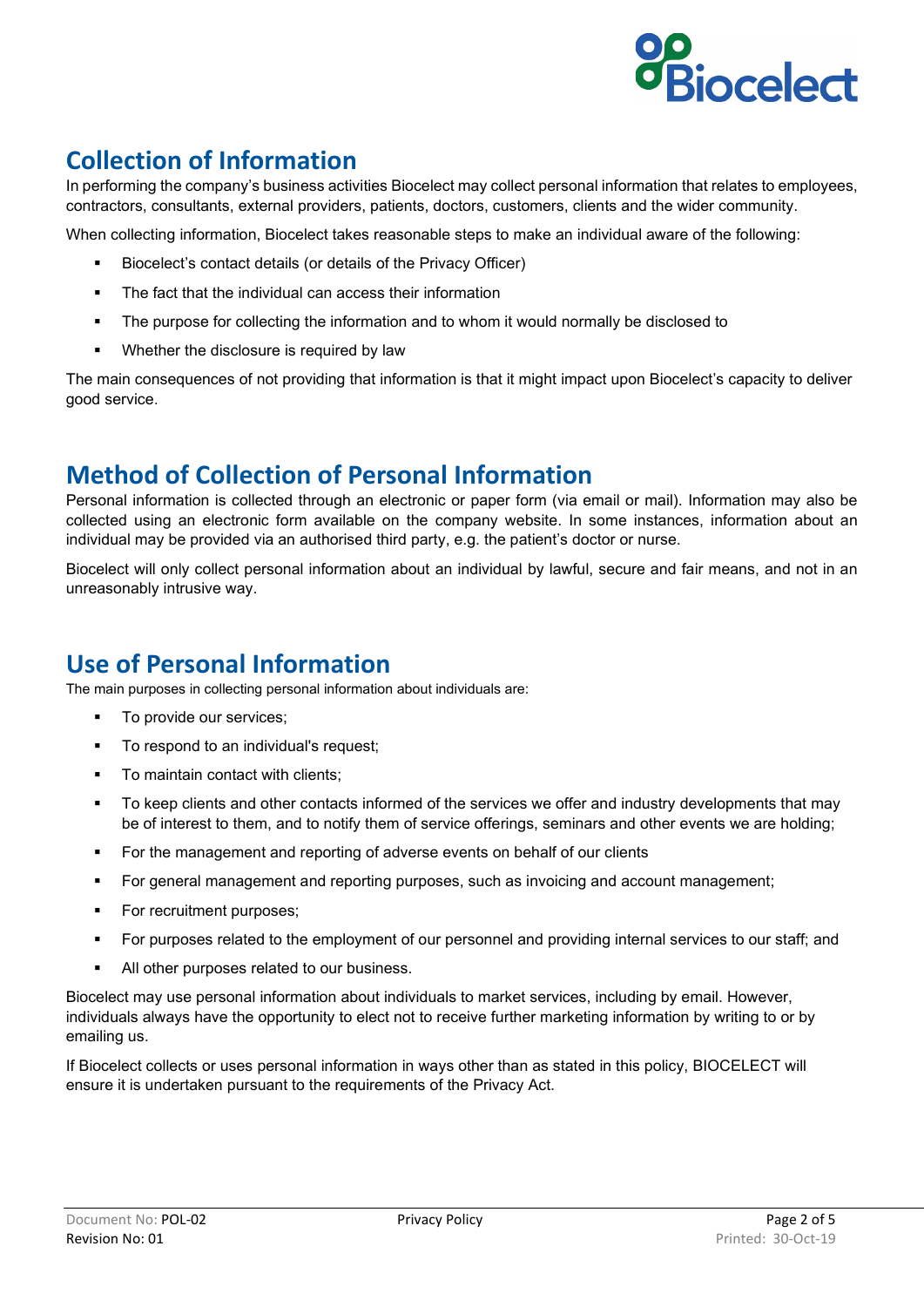

# **Collection of Information**

In performing the company's business activities Biocelect may collect personal information that relates to employees, contractors, consultants, external providers, patients, doctors, customers, clients and the wider community.

When collecting information, Biocelect takes reasonable steps to make an individual aware of the following:

- Biocelect's contact details (or details of the Privacy Officer)
- The fact that the individual can access their information
- The purpose for collecting the information and to whom it would normally be disclosed to
- **Whether the disclosure is required by law**

The main consequences of not providing that information is that it might impact upon Biocelect's capacity to deliver good service.

## **Method of Collection of Personal Information**

Personal information is collected through an electronic or paper form (via email or mail). Information may also be collected using an electronic form available on the company website. In some instances, information about an individual may be provided via an authorised third party, e.g. the patient's doctor or nurse.

Biocelect will only collect personal information about an individual by lawful, secure and fair means, and not in an unreasonably intrusive way.

## **Use of Personal Information**

The main purposes in collecting personal information about individuals are:

- To provide our services;
- To respond to an individual's request;
- To maintain contact with clients:
- To keep clients and other contacts informed of the services we offer and industry developments that may be of interest to them, and to notify them of service offerings, seminars and other events we are holding;
- **For the management and reporting of adverse events on behalf of our clients**
- For general management and reporting purposes, such as invoicing and account management;
- **For recruitment purposes:**
- For purposes related to the employment of our personnel and providing internal services to our staff; and
- All other purposes related to our business.

Biocelect may use personal information about individuals to market services, including by email. However, individuals always have the opportunity to elect not to receive further marketing information by writing to or by emailing us.

If Biocelect collects or uses personal information in ways other than as stated in this policy, BIOCELECT will ensure it is undertaken pursuant to the requirements of the Privacy Act.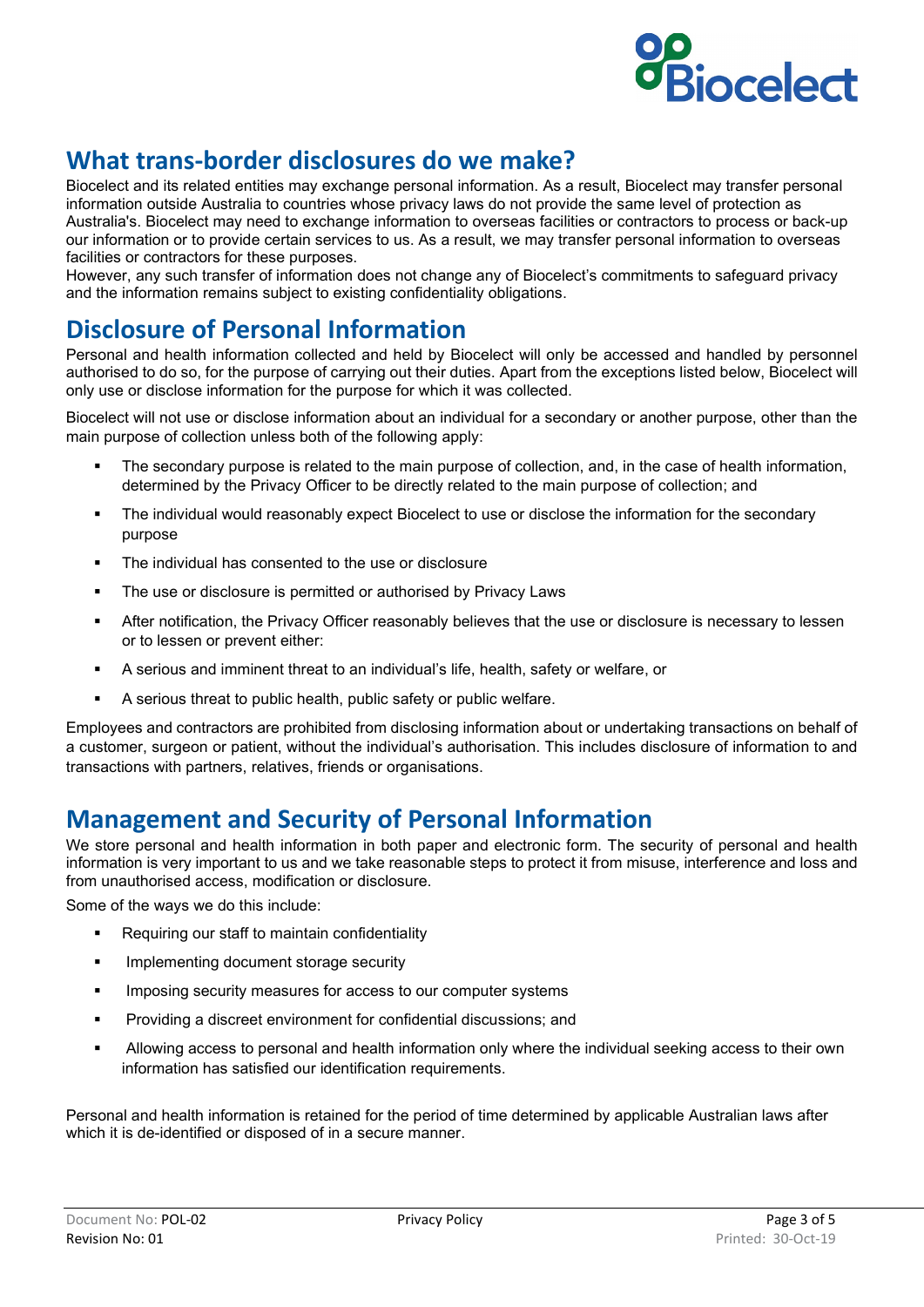

## **What trans-border disclosures do we make?**

Biocelect and its related entities may exchange personal information. As a result, Biocelect may transfer personal information outside Australia to countries whose privacy laws do not provide the same level of protection as Australia's. Biocelect may need to exchange information to overseas facilities or contractors to process or back-up our information or to provide certain services to us. As a result, we may transfer personal information to overseas facilities or contractors for these purposes.

However, any such transfer of information does not change any of Biocelect's commitments to safeguard privacy and the information remains subject to existing confidentiality obligations.

#### **Disclosure of Personal Information**

Personal and health information collected and held by Biocelect will only be accessed and handled by personnel authorised to do so, for the purpose of carrying out their duties. Apart from the exceptions listed below, Biocelect will only use or disclose information for the purpose for which it was collected.

Biocelect will not use or disclose information about an individual for a secondary or another purpose, other than the main purpose of collection unless both of the following apply:

- The secondary purpose is related to the main purpose of collection, and, in the case of health information, determined by the Privacy Officer to be directly related to the main purpose of collection; and
- The individual would reasonably expect Biocelect to use or disclose the information for the secondary purpose
- The individual has consented to the use or disclosure
- **The use or disclosure is permitted or authorised by Privacy Laws**
- After notification, the Privacy Officer reasonably believes that the use or disclosure is necessary to lessen or to lessen or prevent either:
- A serious and imminent threat to an individual's life, health, safety or welfare, or
- A serious threat to public health, public safety or public welfare.

Employees and contractors are prohibited from disclosing information about or undertaking transactions on behalf of a customer, surgeon or patient, without the individual's authorisation. This includes disclosure of information to and transactions with partners, relatives, friends or organisations.

#### **Management and Security of Personal Information**

We store personal and health information in both paper and electronic form. The security of personal and health information is very important to us and we take reasonable steps to protect it from misuse, interference and loss and from unauthorised access, modification or disclosure.

Some of the ways we do this include:

- Requiring our staff to maintain confidentiality
- **IMPLEMENTIC SECULTER 19 Implementing document storage security**
- **IMPOSING SECUTE INTERS** for access to our computer systems
- Providing a discreet environment for confidential discussions; and
- Allowing access to personal and health information only where the individual seeking access to their own information has satisfied our identification requirements.

Personal and health information is retained for the period of time determined by applicable Australian laws after which it is de-identified or disposed of in a secure manner.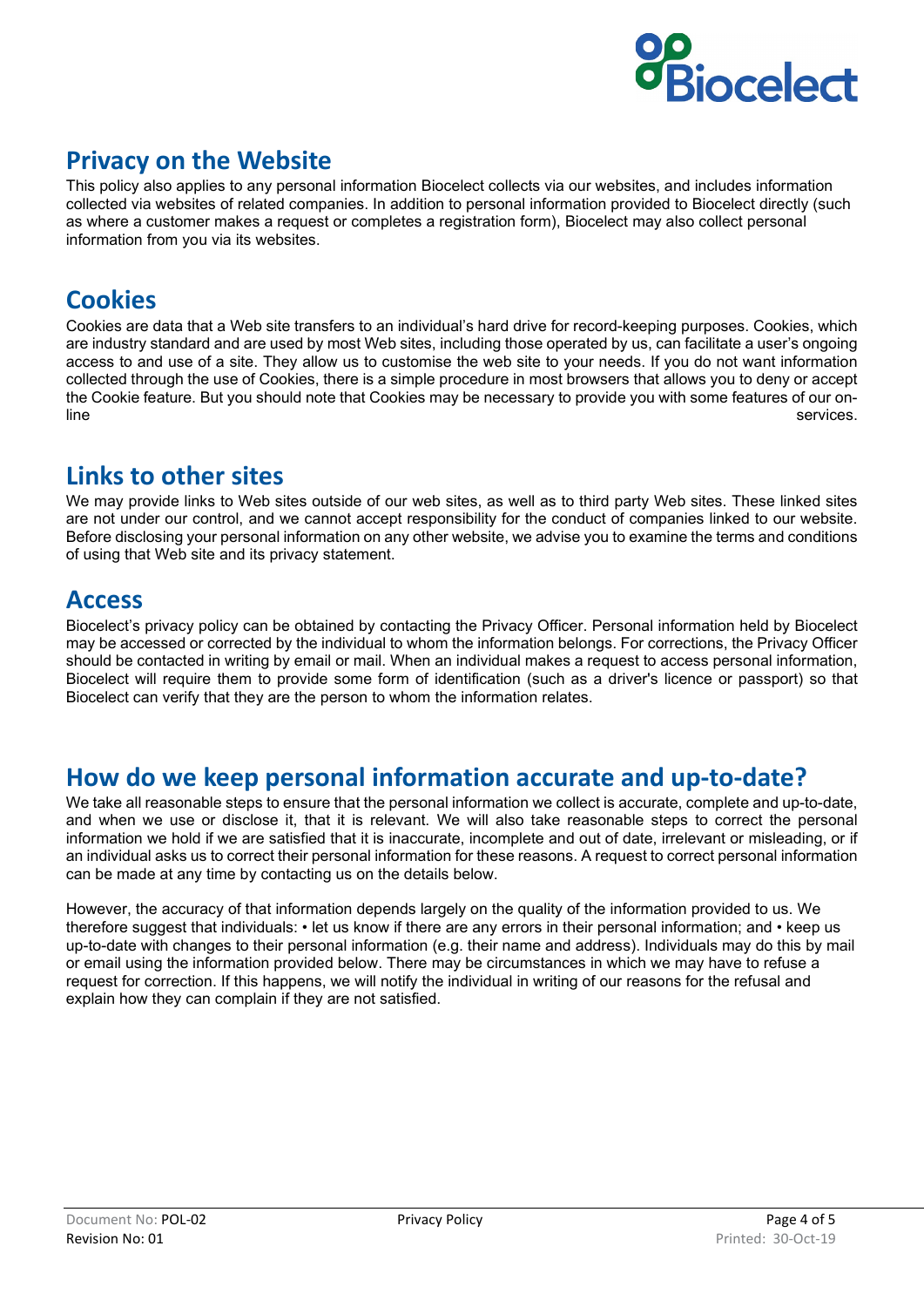

## **Privacy on the Website**

This policy also applies to any personal information Biocelect collects via our websites, and includes information collected via websites of related companies. In addition to personal information provided to Biocelect directly (such as where a customer makes a request or completes a registration form), Biocelect may also collect personal information from you via its websites.

## **Cookies**

Cookies are data that a Web site transfers to an individual's hard drive for record-keeping purposes. Cookies, which are industry standard and are used by most Web sites, including those operated by us, can facilitate a user's ongoing access to and use of a site. They allow us to customise the web site to your needs. If you do not want information collected through the use of Cookies, there is a simple procedure in most browsers that allows you to deny or accept the Cookie feature. But you should note that Cookies may be necessary to provide you with some features of our online services. The services of the services of the services of the services of the services.

## **Links to other sites**

We may provide links to Web sites outside of our web sites, as well as to third party Web sites. These linked sites are not under our control, and we cannot accept responsibility for the conduct of companies linked to our website. Before disclosing your personal information on any other website, we advise you to examine the terms and conditions of using that Web site and its privacy statement.

#### **Access**

Biocelect's privacy policy can be obtained by contacting the Privacy Officer. Personal information held by Biocelect may be accessed or corrected by the individual to whom the information belongs. For corrections, the Privacy Officer should be contacted in writing by email or mail. When an individual makes a request to access personal information, Biocelect will require them to provide some form of identification (such as a driver's licence or passport) so that Biocelect can verify that they are the person to whom the information relates.

#### **How do we keep personal information accurate and up-to-date?**

We take all reasonable steps to ensure that the personal information we collect is accurate, complete and up-to-date, and when we use or disclose it, that it is relevant. We will also take reasonable steps to correct the personal information we hold if we are satisfied that it is inaccurate, incomplete and out of date, irrelevant or misleading, or if an individual asks us to correct their personal information for these reasons. A request to correct personal information can be made at any time by contacting us on the details below.

However, the accuracy of that information depends largely on the quality of the information provided to us. We therefore suggest that individuals: • let us know if there are any errors in their personal information; and • keep us up-to-date with changes to their personal information (e.g. their name and address). Individuals may do this by mail or email using the information provided below. There may be circumstances in which we may have to refuse a request for correction. If this happens, we will notify the individual in writing of our reasons for the refusal and explain how they can complain if they are not satisfied.